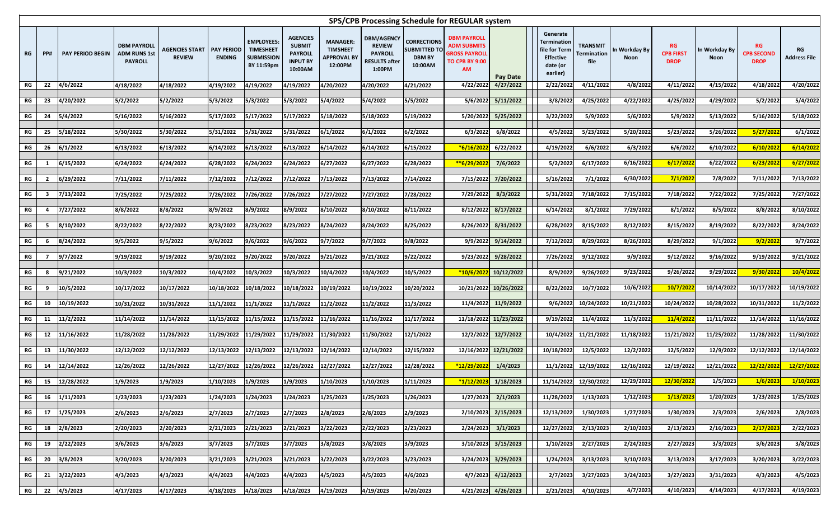**RG Address File**

| SPS/CPB Processing Schedule for REGULAR system |            |                         |                                                             |                                                     |               |                                                                          |                                                                                  |                                                                     |                                                                                        |                                                                  |                                                                                                        |                         |                                                                                             |            |                                               |                              |                                              |                              |                                               |                                  |
|------------------------------------------------|------------|-------------------------|-------------------------------------------------------------|-----------------------------------------------------|---------------|--------------------------------------------------------------------------|----------------------------------------------------------------------------------|---------------------------------------------------------------------|----------------------------------------------------------------------------------------|------------------------------------------------------------------|--------------------------------------------------------------------------------------------------------|-------------------------|---------------------------------------------------------------------------------------------|------------|-----------------------------------------------|------------------------------|----------------------------------------------|------------------------------|-----------------------------------------------|----------------------------------|
| <b>RG</b>                                      | <b>PP#</b> | <b>PAY PERIOD BEGIN</b> | <b>DBM PAYROLL</b><br><b>ADM RUNS 1st</b><br><b>PAYROLL</b> | <b>AGENCIES START   PAY PERIOD</b><br><b>REVIEW</b> | <b>ENDING</b> | <b>EMPLOYEES:</b><br><b>TIMESHEET</b><br><b>SUBMISSION</b><br>BY 11:59pm | <b>AGENCIES</b><br><b>SUBMIT</b><br><b>PAYROLL</b><br><b>INPUT BY</b><br>10:00AM | <b>MANAGER:</b><br><b>TIMSHEET</b><br><b>APPROVAL BY</b><br>12:00PM | <b>DBM/AGENCY</b><br><b>REVIEW</b><br><b>PAYROLL</b><br><b>RESULTS after</b><br>1:00PM | CORRECTIONS  <br><b>SUBMITTED TO</b><br><b>DBM BY</b><br>10:00AM | <b>DBM PAYROLL</b><br><b>ADM SUBMITS</b><br><b>GROSS PAYROLL</b><br><b>TO CPB BY 9:00</b><br><b>AM</b> | <b>Pay Date</b>         | Generate<br><b>Termination</b><br>file for Term<br><b>Effective</b><br>date (or<br>earlier) |            | <b>TRANSMIT</b><br><b>Termination</b><br>file | In Workday By<br><b>Noon</b> | <b>RG</b><br><b>CPB FIRST</b><br><b>DROP</b> | In Workday By<br><b>Noon</b> | <b>RG</b><br><b>CPB SECOND</b><br><b>DROP</b> | <b>RG</b><br><b>Address File</b> |
| <b>RG</b>                                      | 22         | 4/6/2022                | 4/18/2022                                                   | 4/18/2022                                           | 4/19/2022     | 4/19/2022                                                                | 4/19/2022                                                                        | 4/20/2022                                                           | 4/20/2022                                                                              | 4/21/2022                                                        | 4/22/2022                                                                                              | 4/27/2022               |                                                                                             | 2/22/2022  | 4/11/2022                                     | 4/8/2022                     | 4/11/2022                                    | 4/15/2022                    | 4/18/2022                                     | 4/20/2022                        |
| <b>RG</b>                                      | 23         | 4/20/2022               | 5/2/2022                                                    | 5/2/2022                                            | 5/3/2022      | 5/3/2022                                                                 | 5/3/2022                                                                         | 5/4/2022                                                            | 5/4/2022                                                                               | 5/5/2022                                                         | 5/6/2022                                                                                               | 5/11/2022               |                                                                                             | 3/8/2022   | 4/25/2022                                     | 4/22/2022                    | 4/25/2022                                    | 4/29/2022                    | 5/2/2022                                      | 5/4/2022                         |
| <b>RG</b>                                      | 24         | 5/4/2022                | 5/16/2022                                                   | 5/16/2022                                           | 5/17/2022     | 5/17/2022                                                                | 5/17/2022                                                                        | 5/18/2022                                                           | 5/18/2022                                                                              | 5/19/2022                                                        | 5/20/2022                                                                                              | 5/25/2022               |                                                                                             | 3/22/2022  | 5/9/2022                                      | 5/6/2022                     | 5/9/2022                                     | 5/13/2022                    | 5/16/2022                                     | 5/18/2022                        |
| <b>RG</b>                                      | 25         | 5/18/2022               | 5/30/2022                                                   | 5/30/2022                                           | 5/31/2022     | 5/31/2022                                                                | 5/31/2022                                                                        | 6/1/2022                                                            | 6/1/2022                                                                               | 6/2/2022                                                         | 6/3/2022                                                                                               | 6/8/2022                |                                                                                             | 4/5/2022   | 5/23/2022                                     | 5/20/2022                    | 5/23/2022                                    | 5/26/2022                    | 5/27/2022                                     | 6/1/2022                         |
| <b>RG</b>                                      | 26         | 6/1/2022                | 6/13/2022                                                   | 6/13/2022                                           | 6/14/2022     | 6/13/2022                                                                | 6/13/2022                                                                        | 6/14/2022                                                           | 6/14/2022                                                                              | 6/15/2022                                                        | *6/16/2022                                                                                             | 6/22/2022               |                                                                                             | 4/19/2022  | 6/6/2022                                      | 6/3/2022                     | 6/6/2022                                     | 6/10/2022                    | 6/10/2022                                     | 6/14/2022                        |
| <b>RG</b>                                      |            | 6/15/2022               | 6/24/2022                                                   | 6/24/2022                                           | 6/28/2022     | 6/24/2022                                                                | 6/24/2022                                                                        | 6/27/2022                                                           | 6/27/2022                                                                              | 6/28/2022                                                        | **6/29/2022                                                                                            | 7/6/2022                |                                                                                             | 5/2/2022   | 6/17/2022                                     | 6/16/2022                    | 6/17/2022                                    | 6/22/2022                    | 6/23/2022                                     | 6/27/2022                        |
| <b>RG</b>                                      |            | 6/29/2022               | 7/11/2022                                                   | 7/11/2022                                           | 7/12/2022     | 7/12/2022                                                                | 7/12/2022                                                                        | 7/13/2022                                                           | 7/13/2022                                                                              | 7/14/2022                                                        | 7/15/2022                                                                                              | 7/20/2022               |                                                                                             | 5/16/2022  | 7/1/2022                                      | 6/30/2022                    | 7/1/2022                                     | 7/8/2022                     | 7/11/2022                                     | 7/13/2022                        |
| <b>RG</b>                                      |            | 7/13/2022               | 7/25/2022                                                   | 7/25/2022                                           | 7/26/2022     | 7/26/2022                                                                | 7/26/2022                                                                        | 7/27/2022                                                           | 7/27/2022                                                                              | 7/28/2022                                                        | 7/29/2022                                                                                              | 8/3/2022                |                                                                                             | 5/31/2022  | 7/18/2022                                     | 7/15/2022                    | 7/18/2022                                    | 7/22/2022                    | 7/25/2022                                     | 7/27/2022                        |
| <b>RG</b>                                      |            | 7/27/2022               | 8/8/2022                                                    | 8/8/2022                                            | 8/9/2022      | 8/9/2022                                                                 | 8/9/2022                                                                         | 8/10/2022                                                           | 8/10/2022                                                                              | 8/11/2022                                                        | 8/12/2022                                                                                              | 8/17/2022               |                                                                                             | 6/14/2022  | 8/1/2022                                      | 7/29/2022                    | 8/1/2022                                     | 8/5/2022                     | 8/8/2022                                      | 8/10/2022                        |
| <b>RG</b>                                      |            | 8/10/2022               | 8/22/2022                                                   | 8/22/2022                                           | 8/23/2022     | 8/23/2022                                                                | 8/23/2022                                                                        | 8/24/2022                                                           | 8/24/2022                                                                              | 8/25/2022                                                        | 8/26/2022                                                                                              | 8/31/2022               |                                                                                             | 6/28/2022  | 8/15/2022                                     | 8/12/2022                    | 8/15/2022                                    | 8/19/2022                    | 8/22/2022                                     | 8/24/2022                        |
| <b>RG</b>                                      |            | 8/24/2022               | 9/5/2022                                                    | 9/5/2022                                            | 9/6/2022      | 9/6/2022                                                                 | 9/6/2022                                                                         | 9/7/2022                                                            | 9/7/2022                                                                               | 9/8/2022                                                         | 9/9/2022                                                                                               | 9/14/2022               |                                                                                             | 7/12/2022  | 8/29/2022                                     | 8/26/2022                    | 8/29/2022                                    | 9/1/2022                     | 9/2/2022                                      | 9/7/2022                         |
|                                                |            |                         |                                                             |                                                     |               |                                                                          |                                                                                  |                                                                     |                                                                                        |                                                                  |                                                                                                        |                         |                                                                                             |            |                                               |                              |                                              |                              |                                               |                                  |
| <b>RG</b>                                      |            | 9/7/2022                | 9/19/2022                                                   | 9/19/2022                                           | 9/20/2022     | 9/20/2022                                                                | 9/20/2022                                                                        | 9/21/2022                                                           | 9/21/2022                                                                              | 9/22/2022                                                        | 9/23/2022                                                                                              | 9/28/2022               |                                                                                             | 7/26/2022  | 9/12/2022                                     | 9/9/2022                     | 9/12/2022                                    | 9/16/2022                    | 9/19/2022                                     | 9/21/2022                        |
| <b>RG</b>                                      |            | 9/21/2022               | 10/3/2022                                                   | 10/3/2022                                           | 10/4/2022     | 10/3/2022                                                                | 10/3/2022                                                                        | 10/4/2022                                                           | 10/4/2022                                                                              | 10/5/2022                                                        | $*10/6/2022$                                                                                           | 10/12/2022              |                                                                                             | 8/9/2022   | 9/26/2022                                     | 9/23/2022                    | 9/26/2022                                    | 9/29/2022                    | 9/30/2022                                     | 10/4/2022                        |
| <b>RG</b>                                      |            | 10/5/2022               | 10/17/2022                                                  | 10/17/2022                                          | 10/18/2022    | 10/18/2022                                                               | 10/18/2022                                                                       | 10/19/2022                                                          | 10/19/2022                                                                             | 10/20/2022                                                       |                                                                                                        | 10/21/2022 10/26/2022   |                                                                                             | 8/22/2022  | 10/7/2022                                     | 10/6/2022                    | 10/7/2022                                    | 10/14/2022                   | 10/17/2022                                    | 10/19/2022                       |
| <b>RG</b>                                      |            | 10/19/2022              | 10/31/2022                                                  | 10/31/2022                                          | 11/1/2022     | 11/1/2022                                                                | 11/1/2022                                                                        | 11/2/2022                                                           | 11/2/2022                                                                              | 11/3/2022                                                        | 11/4/2022                                                                                              | 11/9/2022               |                                                                                             | 9/6/2022   | 10/24/2022                                    | 10/21/2022                   | 10/24/2022                                   | 10/28/2022                   | 10/31/2022                                    | 11/2/2022                        |
| <b>RG</b>                                      |            | 11/2/2022               | 11/14/2022                                                  | 11/14/2022                                          | 11/15/2022    | 11/15/2022                                                               | 11/15/2022                                                                       | 11/16/2022                                                          | 11/16/2022                                                                             | 11/17/2022                                                       |                                                                                                        | 11/18/2022 11/23/2022   |                                                                                             | 9/19/2022  | 11/4/2022                                     | 11/3/2022                    | 11/4/2022                                    | 11/11/2022                   | 11/14/2022                                    | 11/16/2022                       |
| <b>RG</b>                                      |            | 11/16/2022              | 11/28/2022                                                  | 11/28/2022                                          | 11/29/2022    | 11/29/2022                                                               | 11/29/2022                                                                       | 11/30/2022                                                          | 11/30/2022                                                                             | 12/1/2022                                                        | 12/2/2022                                                                                              | 12/7/2022               |                                                                                             | 10/4/2022  | 11/21/2022                                    | 11/18/2022                   | 11/21/2022                                   | 11/25/2022                   | 11/28/2022                                    | 11/30/2022                       |
| <b>RG</b>                                      |            | 11/30/2022              | 12/12/2022                                                  | 12/12/2022                                          | 12/13/2022    | 12/13/2022                                                               | 12/13/2022                                                                       | 12/14/2022                                                          | 12/14/2022                                                                             | 12/15/2022                                                       |                                                                                                        | 12/16/2022 12/21/2022   |                                                                                             | 10/18/2022 | 12/5/2022                                     | 12/2/2022                    | 12/5/2022                                    | 12/9/2022                    | 12/12/2022                                    | 12/14/2022                       |
|                                                |            |                         |                                                             |                                                     |               |                                                                          |                                                                                  |                                                                     |                                                                                        |                                                                  |                                                                                                        |                         |                                                                                             |            |                                               |                              |                                              |                              |                                               |                                  |
| <b>RG</b>                                      | 14         | 12/14/2022              | 12/26/2022                                                  | 12/26/2022                                          | 12/27/2022    | 12/26/2022                                                               | 12/26/2022                                                                       | 12/27/2022                                                          | 12/27/2022                                                                             | 12/28/2022                                                       | *12/29/2022                                                                                            | 1/4/2023                |                                                                                             | 11/1/2022  | 12/19/2022                                    | 12/16/2022                   | 12/19/2022                                   | 12/21/2022                   | 12/22/2022                                    | 12/27/2022                       |
| <b>RG</b>                                      |            | 12/28/2022              | 1/9/2023                                                    | 1/9/2023                                            | 1/10/2023     | 1/9/2023                                                                 | 1/9/2023                                                                         | 1/10/2023                                                           | 1/10/2023                                                                              | 1/11/2023                                                        | *1/12/2023                                                                                             | 1/18/2023               |                                                                                             | 11/14/2022 | 12/30/2022                                    | 12/29/2022                   | 12/30/2022                                   | 1/5/2023                     | 1/6/2023                                      | 1/10/2023                        |
| <b>RG</b>                                      |            | 1/11/2023               | 1/23/2023                                                   | 1/23/2023                                           | 1/24/2023     | 1/24/2023                                                                | 1/24/2023                                                                        | 1/25/2023                                                           | 1/25/2023                                                                              | 1/26/2023                                                        | 1/27/2023                                                                                              | 2/1/2023                |                                                                                             | 11/28/2022 | 1/13/2023                                     | 1/12/2023                    | 1/13/2023                                    | 1/20/2023                    | 1/23/2023                                     | 1/25/2023                        |
| <b>RG</b>                                      | 17         | 1/25/2023               | 2/6/2023                                                    | 2/6/2023                                            | 2/7/2023      | 2/7/2023                                                                 | 2/7/2023                                                                         | 2/8/2023                                                            | 2/8/2023                                                                               | 2/9/2023                                                         | 2/10/2023                                                                                              | 2/15/2023               |                                                                                             | 12/13/2022 | 1/30/2023                                     | 1/27/2023                    | 1/30/2023                                    | 2/3/2023                     | 2/6/2023                                      | 2/8/2023                         |
| <b>RG</b>                                      | 18         | 2/8/2023                | 2/20/2023                                                   | 2/20/2023                                           | 2/21/2023     | 2/21/2023                                                                | 2/21/2023                                                                        | 2/22/2023                                                           | 2/22/2023                                                                              | 2/23/2023                                                        | 2/24/2023                                                                                              | 3/1/2023                |                                                                                             | 12/27/2022 | 2/13/2023                                     | 2/10/2023                    | 2/13/2023                                    | 2/16/2023                    | 2/17/2023                                     | 2/22/2023                        |
| <b>RG</b>                                      | 19         | 2/22/2023               | 3/6/2023                                                    | 3/6/2023                                            | 3/7/2023      | 3/7/2023                                                                 | 3/7/2023                                                                         | 3/8/2023                                                            | 3/8/2023                                                                               | 3/9/2023                                                         |                                                                                                        | $3/10/2023$ $3/15/2023$ |                                                                                             | 1/10/2023  | 2/27/2023                                     | 2/24/2023                    | 2/27/2023                                    | 3/3/2023                     | 3/6/2023                                      | 3/8/2023                         |
| <b>RG</b>                                      | <b>20</b>  | 3/8/2023                | 3/20/2023                                                   | 3/20/2023                                           | 3/21/2023     | 3/21/2023                                                                | 3/21/2023                                                                        | 3/22/2023                                                           | 3/22/2023                                                                              | 3/23/2023                                                        |                                                                                                        | 3/24/2023 3/29/2023     |                                                                                             | 1/24/2023  | 3/13/2023                                     | 3/10/2023                    | 3/13/2023                                    | 3/17/2023                    | 3/20/2023                                     | 3/22/2023                        |
| <b>RG</b>                                      | 21         | 3/22/2023               | 4/3/2023                                                    | 4/3/2023                                            | 4/4/2023      | 4/4/2023                                                                 | 4/4/2023                                                                         | 4/5/2023                                                            | 4/5/2023                                                                               | 4/6/2023                                                         |                                                                                                        | 4/7/2023 4/12/2023      |                                                                                             | 2/7/2023   | 3/27/2023                                     | 3/24/2023                    | 3/27/2023                                    | 3/31/2023                    | 4/3/2023                                      | 4/5/2023                         |
| <b>RG</b>                                      | 22         | 4/5/2023                | 4/17/2023                                                   | 4/17/2023                                           | 4/18/2023     | 4/18/2023                                                                | 4/18/2023                                                                        | 4/19/2023                                                           | 4/19/2023                                                                              | 4/20/2023                                                        |                                                                                                        | 4/21/2023 4/26/2023     |                                                                                             | 2/21/2023  | 4/10/2023                                     | 4/7/2023                     | 4/10/2023                                    | 4/14/2023                    | 4/17/2023                                     | 4/19/2023                        |